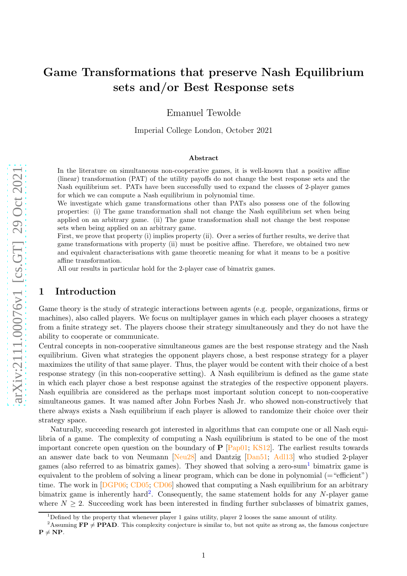# Game Transformations that preserve Nash Equilibrium sets and/or Best Response sets

Emanuel Tewolde

Imperial College London, October 2021

#### Abstract

In the literature on simultaneous non-cooperative games, it is well-known that a positive affine (linear) transformation (PAT) of the utility payoffs do not change the best response sets and the Nash equilibrium set. PATs have been successfully used to expand the classes of 2-player games for which we can compute a Nash equilibrium in polynomial time.

We investigate which game transformations other than PATs also possess one of the following properties: (i) The game transformation shall not change the Nash equilibrium set when being applied on an arbitrary game. (ii) The game transformation shall not change the best response sets when being applied on an arbitrary game.

First, we prove that property (i) implies property (ii). Over a series of further results, we derive that game transformations with property (ii) must be positive affine. Therefore, we obtained two new and equivalent characterisations with game theoretic meaning for what it means to be a positive affine transformation.

All our results in particular hold for the 2-player case of bimatrix games.

### 1 Introduction

Game theory is the study of strategic interactions between agents (e.g. people, organizations, firms or machines), also called players. We focus on multiplayer games in which each player chooses a strategy from a finite strategy set. The players choose their strategy simultaneously and they do not have the ability to cooperate or communicate.

Central concepts in non-cooperative simultaneous games are the best response strategy and the Nash equilibrium. Given what strategies the opponent players chose, a best response strategy for a player maximizes the utility of that same player. Thus, the player would be content with their choice of a best response strategy (in this non-cooperative setting). A Nash equilibrium is defined as the game state in which each player chose a best response against the strategies of the respective opponent players. Nash equilibria are considered as the perhaps most important solution concept to non-cooperative simultaneous games. It was named after John Forbes Nash Jr. who showed non-constructively that there always exists a Nash equilibrium if each player is allowed to randomize their choice over their strategy space.

Naturally, succeeding research got interested in algorithms that can compute one or all Nash equilibria of a game. The complexity of computing a Nash equilibrium is stated to be one of the most important concrete open question on the boundary of **P** [\[Pap01](#page-15-0); [KS12\]](#page-15-1). The earliest results towards an answer date back to von Neumann [\[Neu28](#page-15-2)] and Dantzig [\[Dan51](#page-14-0); [Adl13](#page-14-1)] who studied 2-player games (also referred to as bimatrix games). They showed that solving a zero-sum [1](#page-0-0) bimatrix game is equivalent to the problem of solving a linear program, which can be done in polynomial  $(=$  "efficient") time. The work in [\[DGP06](#page-14-2); [CD05](#page-14-3); [CD06](#page-14-4)] showed that computing a Nash equilibrium for an arbitrary bimatrix game is inherently hard<sup>[2](#page-0-1)</sup>. Consequently, the same statement holds for any N-player game where  $N \geq 2$ . Succeeding work has been interested in finding further subclasses of bimatrix games,

<span id="page-0-0"></span><sup>&</sup>lt;sup>1</sup>Defined by the property that whenever player 1 gains utility, player 2 looses the same amount of utility.

<span id="page-0-1"></span><sup>&</sup>lt;sup>2</sup>Assuming  $\mathbf{FP} \neq \mathbf{PPAD}$ . This complexity conjecture is similar to, but not quite as strong as, the famous conjecture  $P \neq NP$ .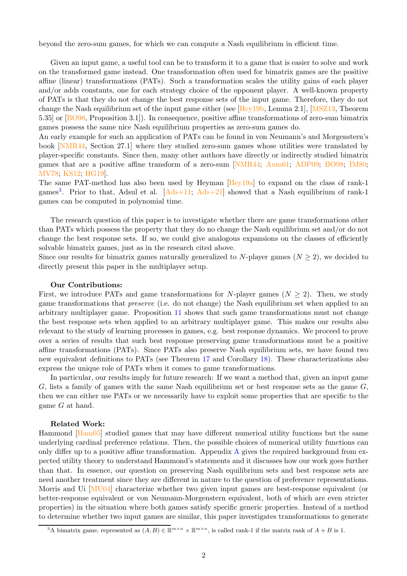beyond the zero-sum games, for which we can compute a Nash equilibrium in efficient time.

Given an input game, a useful tool can be to transform it to a game that is easier to solve and work on the transformed game instead. One transformation often used for bimatrix games are the positive affine (linear) transformations (PATs). Such a transformation scales the utility gains of each player and/or adds constants, one for each strategy choice of the opponent player. A well-known property of PATs is that they do not change the best response sets of the input game. Therefore, they do not change the Nash equilibrium set of the input game either (see  $[Hev19b, Lemma 2.1]$ ,  $[MSZ13, Theorem 1.1]$ 5.35] or [\[BO98,](#page-14-6) Proposition 3.1]). In consequence, positive affine transformations of zero-sum bimatrix games possess the same nice Nash equilibrium properties as zero-sum games do.

An early example for such an application of PATs can be found in von Neumann's and Morgenstern's book [NMR44, Section 27.1] where they studied zero-sum games whose utilities were translated by player-specific constants. Since then, many other authors have directly or indirectly studied bimatrix games that are a positive affine transform of a zero-sum [NMR44; [Aum61](#page-14-7); ADP09; [BO98](#page-14-6); [IM80](#page-15-4); [MV78;](#page-15-5) [KS12;](#page-15-1) [HG19](#page-14-8)].

The same PAT-method has also been used by Heyman [\[Hey19a\]](#page-14-9) to expand on the class of rank-1 games<sup>[3](#page-1-0)</sup>. Prior to that, Adsul et al.  $[Ads+11; Ads+21]$  $[Ads+11; Ads+21]$  showed that a Nash equilibrium of rank-1 games can be computed in polynomial time.

The research question of this paper is to investigate whether there are game transformations other than PATs which possess the property that they do no change the Nash equilibrium set and/or do not change the best response sets. If so, we could give analogous expansions on the classes of efficiently solvable bimatrix games, just as in the research cited above.

Since our results for bimatrix games naturally generalized to N-player games  $(N \geq 2)$ , we decided to directly present this paper in the multiplayer setup.

#### Our Contributions:

First, we introduce PATs and game transformations for N-player games  $(N \geq 2)$ . Then, we study game transformations that preserve (i.e. do not change) the Nash equilibrium set when applied to an arbitrary multiplayer game. Proposition [11](#page-7-0) shows that such game transformations must not change the best response sets when applied to an arbitrary multiplayer game. This makes our results also relevant to the study of learning processes in games, e.g. best response dynamics. We proceed to prove over a series of results that such best response preserving game transformations must be a positive affine transformations (PATs). Since PATs also preserve Nash equilibrium sets, we have found two new equivalent definitions to PATs (see Theorem [17](#page-12-0) and Corollary [18\)](#page-13-0). These characterizations also express the unique role of PATs when it comes to game transformations.

In particular, our results imply for future research: If we want a method that, given an input game  $G$ , lists a family of games with the same Nash equilibrium set or best response sets as the game  $G$ , then we can either use PATs or we necessarily have to exploit some properties that are specific to the game G at hand.

#### Related Work:

Hammond [\[Ham05\]](#page-14-12) studied games that may have different numerical utility functions but the same underlying cardinal preference relations. Then, the possible choices of numerical utility functions can only differ up to a positive affine transformation. Appendix [A](#page-15-6) gives the required background from expected utility theory to understand Hammond's statements and it discusses how our work goes further than that. In essence, our question on preserving Nash equilibrium sets and best response sets are need another treatment since they are different in nature to the question of preference representations. Morris and Ui [\[MU04](#page-15-7)] characterize whether two given input games are best-response equivalent (or better-response equivalent or von Neumann-Morgenstern equivalent, both of which are even stricter properties) in the situation where both games satisfy specific generic properties. Instead of a method to determine whether two input games are similar, this paper investigates transformations to generate

<span id="page-1-0"></span><sup>&</sup>lt;sup>3</sup>A bimatrix game, represented as  $(A, B) \in \mathbb{R}^{m \times n} \times \mathbb{R}^{m \times n}$ , is called rank-1 if the matrix rank of  $A + B$  is 1.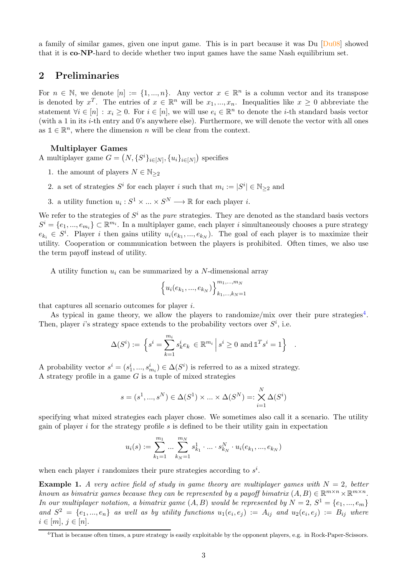a family of similar games, given one input game. This is in part because it was Du [Du08] showed that it is co-NP-hard to decide whether two input games have the same Nash equilibrium set.

### 2 Preliminaries

For  $n \in \mathbb{N}$ , we denote  $[n] := \{1, ..., n\}$ . Any vector  $x \in \mathbb{R}^n$  is a column vector and its transpose is denoted by  $x^T$ . The entries of  $x \in \mathbb{R}^n$  will be  $x_1, ..., x_n$ . Inequalities like  $x \geq 0$  abbreviate the statement  $\forall i \in [n] : x_i \geq 0$ . For  $i \in [n]$ , we will use  $e_i \in \mathbb{R}^n$  to denote the *i*-th standard basis vector (with a 1 in its i-th entry and 0's anywhere else). Furthermore, we will denote the vector with all ones as  $\mathbb{1} \in \mathbb{R}^n$ , where the dimension n will be clear from the context.

### Multiplayer Games

A multiplayer game  $G = (N, \{S^i\}_{i \in [N]}, \{u_i\}_{i \in [N]})$  specifies

- 1. the amount of players  $N \in \mathbb{N}_{\geq 2}$
- 2. a set of strategies  $S^i$  for each player i such that  $m_i := |S^i| \in \mathbb{N}_{\geq 2}$  and
- 3. a utility function  $u_i: S^1 \times \ldots \times S^N \longrightarrow \mathbb{R}$  for each player *i*.

We refer to the strategies of  $S^i$  as the *pure* strategies. They are denoted as the standard basis vectors  $S^i = \{e_1, ..., e_{m_i}\} \subset \mathbb{R}^{m_i}$ . In a multiplayer game, each player i simultaneously chooses a pure strategy  $e_{k_i} \in S^i$ . Player *i* then gains utility  $u_i(e_{k_1},...,e_{k_N})$ . The goal of each player is to maximize their utility. Cooperation or communication between the players is prohibited. Often times, we also use the term payoff instead of utility.

A utility function  $u_i$  can be summarized by a N-dimensional array

$$
\Big\{u_i(e_{k_1},...,e_{k_N})\Big\}_{k_1,...,k_N=1}^{m_1,...,m_N}
$$

that captures all scenario outcomes for player i.

As typical in game theory, we allow the players to randomize/mix over their pure strategies<sup>[4](#page-2-0)</sup>. Then, player *i*'s strategy space extends to the probability vectors over  $S^i$ , i.e.

$$
\Delta(S^i) := \left\{ s^i = \sum_{k=1}^{m_i} s_k^i e_k \in \mathbb{R}^{m_i} \, \middle| \, s^i \ge 0 \text{ and } \mathbb{1}^T s^i = 1 \right\}
$$

.

A probability vector  $s^i = (s_1^i, ..., s_{m_i}^i) \in \Delta(S^i)$  is referred to as a mixed strategy. A strategy profile in a game  $G$  is a tuple of mixed strategies

$$
s=(s^1,...,s^N)\in \Delta(S^1)\times...\times \Delta(S^N)=:\bigtimes_{i=1}^N\Delta(S^i)
$$

specifying what mixed strategies each player chose. We sometimes also call it a scenario. The utility gain of player  $i$  for the strategy profile  $s$  is defined to be their utility gain in expectation

$$
u_i(s) := \sum_{k_1=1}^{m_1} \dots \sum_{k_N=1}^{m_N} s_{k_1}^1 \cdot \dots \cdot s_{k_N}^N \cdot u_i(e_{k_1}, ..., e_{k_N})
$$

when each player i randomizes their pure strategies according to  $s^i$ .

**Example 1.** A very active field of study in game theory are multiplayer games with  $N = 2$ , better known as bimatrix games because they can be represented by a payoff bimatrix  $(A, B) \in \mathbb{R}^{m \times n} \times \mathbb{R}^{m \times n}$ . In our multiplayer notation, a bimatrix game  $(A, B)$  would be represented by  $N = 2$ ,  $S^1 = \{e_1, ..., e_m\}$ and  $S^2 = \{e_1, ..., e_n\}$  as well as by utility functions  $u_1(e_i, e_j) := A_{ij}$  and  $u_2(e_i, e_j) := B_{ij}$  where  $i \in [m], j \in [n].$ 

<span id="page-2-0"></span><sup>4</sup>That is because often times, a pure strategy is easily exploitable by the opponent players, e.g. in Rock-Paper-Scissors.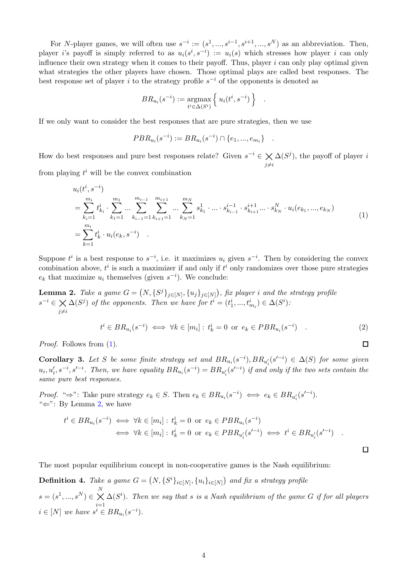For N-player games, we will often use  $s^{-i} := (s^1, ..., s^{i-1}, s^{i+1}, ..., s^N)$  as an abbreviation. Then, player i's payoff is simply referred to as  $u_i(s^i, s^{-i}) := u_i(s)$  which stresses how player i can only influence their own strategy when it comes to their payoff. Thus, player  $i$  can only play optimal given what strategies the other players have chosen. Those optimal plays are called best responses. The best response set of player i to the strategy profile  $s^{-i}$  of the opponents is denoted as

$$
BR_{u_i}(s^{-i}) := \operatorname*{argmax}_{t^i \in \Delta(S^i)} \left\{ u_i(t^i, s^{-i}) \right\}
$$

.

If we only want to consider the best responses that are pure strategies, then we use

$$
PBR_{u_i}(s^{-i}) := BR_{u_i}(s^{-i}) \cap \{e_1, ..., e_{m_i}\} .
$$

How do best responses and pure best responses relate? Given  $s^{-i} \in \bigtimes_{j \neq i}$  $\Delta(S^j)$ , the payoff of player i from playing  $t^i$  will be the convex combination

$$
u_i(t^i, s^{-i})
$$
  
\n
$$
= \sum_{k_i=1}^{m_i} t^i_{k_i} \cdot \sum_{k_1=1}^{m_1} \dots \sum_{k_{i-1}=1}^{m_{i-1}} \sum_{k_{i+1}=1}^{m_{i+1}} \dots \sum_{k_N=1}^{m_N} s^1_{k_1} \cdot \dots \cdot s^{i-1}_{k_{i-1}} \cdot s^{i+1}_{k_{i+1}} \dots \cdot s^N_{k_N} \cdot u_i(e_{k_1}, \dots, e_{k_N})
$$
  
\n
$$
= \sum_{k=1}^{m_i} t^i_k \cdot u_i(e_k, s^{-i})
$$
\n(1)

Suppose  $t^i$  is a best response to  $s^{-i}$ , i.e. it maximizes  $u_i$  given  $s^{-i}$ . Then by considering the convex combination above,  $t^i$  is such a maximizer if and only if  $t^i$  only randomizes over those pure strategies  $e_k$  that maximize  $u_i$  themselves (given  $s^{-i}$ ). We conclude:

<span id="page-3-1"></span>**Lemma 2.** Take a game  $G = (N, \{S^j\}_{j \in [N]}, \{u_j\}_{j \in [N]})$ , fix player i and the strategy profile  $s^{-i} \in \bigtimes \Delta(S^j)$  of the opponents. Then we have for  $t^i = (t^i_1, ..., t^i_{m_i}) \in \Delta(S^i)$ .  $i\neq i$ 

$$
t^{i} \in BR_{u_i}(s^{-i}) \iff \forall k \in [m_i]: t^i_k = 0 \text{ or } e_k \in PBR_{u_i}(s^{-i})
$$
 (2)

Proof. Follows from  $(1)$ .

<span id="page-3-2"></span>**Corollary 3.** Let S be some finite strategy set and  $BR_{u_i}(s^{-i}), BR_{u'_i}(s'^{-i}) \in \Delta(S)$  for some given  $u_i, u'_i, s^{-i}, s'^{-i}$ . Then, we have equality  $BR_{u_i}(s^{-i}) = BR_{u'_i}(s'^{-i})$  if and only if the two sets contain the same pure best responses.

*Proof.* " $\Rightarrow$ ": Take pure strategy  $e_k \in S$ . Then  $e_k \in BR_{u_i}(s^{-i}) \iff e_k \in BR_{u'_i}(s'^{-i})$ . " $\Leftarrow$ ": By Lemma [2,](#page-3-1) we have

$$
t^{i} \in BR_{u_i}(s^{-i}) \iff \forall k \in [m_i]: t_k^{i} = 0 \text{ or } e_k \in PBR_{u_i}(s^{-i})
$$
  

$$
\iff \forall k \in [m_i]: t_k^{i} = 0 \text{ or } e_k \in PBR_{u'_i}(s'^{-i}) \iff t^{i} \in BR_{u'_i}(s'^{-i}) .
$$

 $\Box$ 

<span id="page-3-0"></span> $\Box$ 

The most popular equilibrium concept in non-cooperative games is the Nash equilibrium:

**Definition 4.** Take a game  $G = (N, \{S^i\}_{i \in [N]}, \{u_i\}_{i \in [N]})$  and fix a strategy profile  $s = (s^1, ..., s^N) \in \bigtimes^N \Delta(S^i)$ . Then we say that s is a Nash equilibrium of the game G if for all players  $i=1$  $i \in [N]$  we have  $s^i \in BR_{u_i}(s^{-i}).$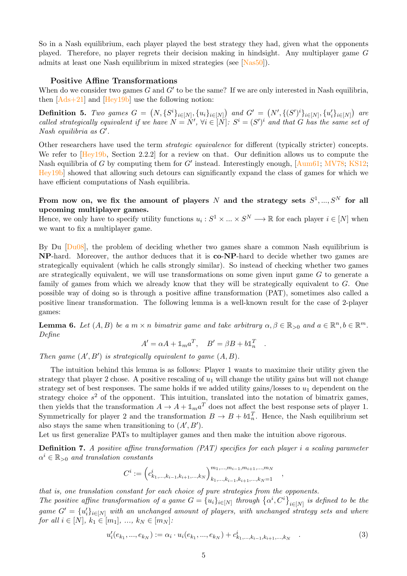So in a Nash equilibrium, each player played the best strategy they had, given what the opponents played. Therefore, no player regrets their decision making in hindsight. Any multiplayer game G admits at least one Nash equilibrium in mixed strategies (see [\[Nas50](#page-15-8)]).

#### Positive Affine Transformations

When do we consider two games  $G$  and  $G'$  to be the same? If we are only interested in Nash equilibria, then  $[Ads+21]$  and  $[Hey19b]$  use the following notion:

**Definition 5.** Two games  $G = (N, \{S^i\}_{i \in [N]}, \{u_i\}_{i \in [N]})$  and  $G' = (N', \{(S')^i\}_{i \in [N]}, \{u'_i\}_{i \in [N]})$  are called strategically equivalent if we have  $N = N'$ ,  $\forall i \in [N]$ :  $S^i = (S')^i$  and that G has the same set of Nash equilibria as G′ .

Other researchers have used the term strategic equivalence for different (typically stricter) concepts. We refer to  $[Hey19b, Section 2.2.2]$  for a review on that. Our definition allows us to compute the Nash equilibria of G by computing them for  $G'$  instead. Interestingly enough,  $\text{[Aum61; MV78; KS12]}$  $\text{[Aum61; MV78; KS12]}$  $\text{[Aum61; MV78; KS12]}$ [Hey19b](#page-14-5)] showed that allowing such detours can significantly expand the class of games for which we have efficient computations of Nash equilibria.

### From now on, we fix the amount of players  $N$  and the strategy sets  $S^1,...,S^N$  for all upcoming multiplayer games.

Hence, we only have to specify utility functions  $u_i: S^1 \times \ldots \times S^N \longrightarrow \mathbb{R}$  for each player  $i \in [N]$  when we want to fix a multiplayer game.

By Du  $[Du08]$ , the problem of deciding whether two games share a common Nash equilibrium is NP-hard. Moreover, the author deduces that it is co-NP-hard to decide whether two games are strategically equivalent (which he calls strongly similar). So instead of checking whether two games are strategically equivalent, we will use transformations on some given input game G to generate a family of games from which we already know that they will be strategically equivalent to G. One possible way of doing so is through a positive affine transformation (PAT), sometimes also called a positive linear transformation. The following lemma is a well-known result for the case of 2-player games:

<span id="page-4-0"></span>**Lemma 6.** Let  $(A, B)$  be a  $m \times n$  bimatrix game and take arbitrary  $\alpha, \beta \in \mathbb{R}_{\geq 0}$  and  $a \in \mathbb{R}^n, b \in \mathbb{R}^m$ . Define

$$
A' = \alpha A + \mathbb{1}_m a^T, \quad B' = \beta B + b \mathbb{1}_n^T
$$

.

,

Then game  $(A', B')$  is strategically equivalent to game  $(A, B)$ .

The intuition behind this lemma is as follows: Player 1 wants to maximize their utility given the strategy that player 2 chose. A positive rescaling of  $u_1$  will change the utility gains but will not change strategy set of best responses. The same holds if we added utility gains/losses to  $u_1$  dependent on the strategy choice  $s^2$  of the opponent. This intuition, translated into the notation of bimatrix games, then yields that the transformation  $A \to A + \mathbb{1}_m a^T$  does not affect the best response sets of player 1. Symmetrically for player 2 and the transformation  $B \to B + b \mathbb{1}_n^T$ . Hence, the Nash equilibrium set also stays the same when transitioning to  $(A', B')$ .

Let us first generalize PATs to multiplayer games and then make the intuition above rigorous.

<span id="page-4-2"></span>Definition 7. A positive affine transformation (PAT) specifies for each player i a scaling parameter  $\alpha^i \in \mathbb{R}_{>0}$  and translation constants

$$
C^i:=\left(c^i_{k_1,\ldots,k_{i-1},k_{i+1},\ldots,k_N} \right)_{k_1,\ldots,k_{i-1},k_{i+1},\ldots,k_N=1}^{m_1,\ldots,m_{i-1},m_{i+1},\ldots,m_N}
$$

that is, one translation constant for each choice of pure strategies from the opponents. The positive affine transformation of a game  $G = \{u_i\}_{i \in [N]}$  through  $\{\alpha^i, C^i\}_{i \in [N]}$  is defined to be the  $game\ G'=\ u_i'\}_{i\in[N]}$  with an unchanged amount of players, with unchanged strategy sets and where for all  $i \in [N], k_1 \in [m_1], \ldots, k_N \in [m_N]$ :

<span id="page-4-1"></span>
$$
u'_{i}(e_{k_{1}},...,e_{k_{N}}):=\alpha_{i}\cdot u_{i}(e_{k_{1}},...,e_{k_{N}})+c_{k_{1},...,k_{i-1},k_{i+1},...,k_{N}}^{i} \tag{3}
$$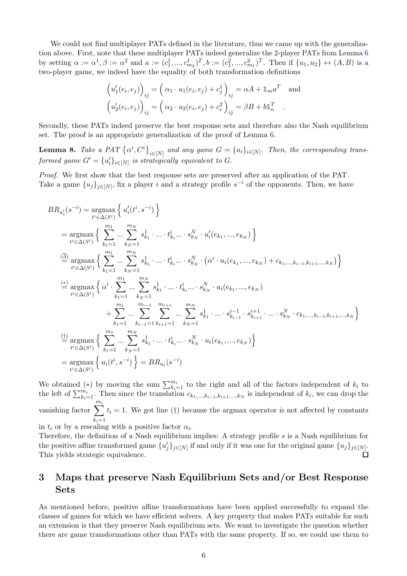We could not find multiplayer PATs defined in the literature, thus we came up with the generalization above. First, note that these multiplayer PATs indeed generalize the 2-player PATs from Lemma [6](#page-4-0) by setting  $\alpha := \alpha^1, \beta := \alpha^2$  and  $a := (c_1^1, ..., c_{m_2}^1)^T, b := (c_1^2, ..., c_{m_1}^2)^T$ . Then if  $\{u_1, u_2\} \leftrightarrow (A, B)$  is a two-player game, we indeed have the equality of both transformation definitions

$$
\left(u'_1(e_i, e_j)\right)_{ij} = \left(\alpha_1 \cdot u_1(e_i, e_j) + c_j^1\right)_{ij} = \alpha A + \mathbb{1}_m a^T \text{ and}
$$

$$
\left(u'_2(e_i, e_j)\right)_{ij} = \left(\alpha_2 \cdot u_2(e_i, e_j) + c_i^2\right)_{ij} = \beta B + b\mathbb{1}_n^T.
$$

Secondly, these PATs indeed preserve the best response sets and therefore also the Nash equilibrium set. The proof is an appropriate generalization of the proof of Lemma [6.](#page-4-0)

<span id="page-5-0"></span>**Lemma 8.** Take a PAT  $\{\alpha^i, C^i\}_{i \in [N]}$  and any game  $G = \{u_i\}_{i \in [N]}$ . Then, the corresponding transformed game  $G' = \{u'_i\}_{i \in [N]}$  is strategically equivalent to  $G$ .

Proof. We first show that the best response sets are preserved after an application of the PAT. Take a game  $\{u_j\}_{j\in[N]}$ , fix a player i and a strategy profile  $s^{-i}$  of the opponents. Then, we have

$$
BR_{u'_{i}}(s^{-i}) = \underset{t^{i} \in \Delta(S^{i})}{\operatorname{argmax}} \left\{ u'_{i}(t^{i}, s^{-i}) \right\}
$$
  
\n
$$
= \underset{t^{i} \in \Delta(S^{i})}{\operatorname{argmax}} \left\{ \sum_{k_{1}=1}^{m_{1}} \dots \sum_{k_{N}=1}^{m_{N}} s_{k_{1}}^{1} \cdot \dots \cdot t_{k_{i}}^{i} \dots \cdot s_{k_{N}}^{N} \cdot u'_{i}(e_{k_{1}}, \dots, e_{k_{N}}) \right\}
$$
  
\n
$$
\stackrel{(3)}{=} \underset{t^{i} \in \Delta(S^{i})}{\operatorname{argmax}} \left\{ \sum_{k_{1}=1}^{m_{1}} \dots \sum_{k_{N}=1}^{m_{N}} s_{k_{1}}^{1} \cdot \dots \cdot t_{k_{i}}^{i} \dots \cdot s_{k_{N}}^{N} \cdot \left( \alpha^{i} \cdot u_{i}(e_{k_{1}}, \dots, e_{k_{N}}) + c_{k_{1}, \dots, k_{i-1}, k_{i+1}, \dots, k_{N}} \right) \right\}
$$
  
\n
$$
\stackrel{(4)}{=} \underset{t^{i} \in \Delta(S^{i})}{\operatorname{argmax}} \left\{ \alpha^{i} \cdot \sum_{k_{1}=1}^{m_{1}} \dots \sum_{k_{N}=1}^{m_{N}} s_{k_{1}}^{1} \cdot \dots \cdot t_{k_{i}}^{i} \dots \cdot s_{k_{N}}^{N} \cdot u_{i}(e_{k_{1}}, \dots, e_{k_{N}}) + \sum_{k_{1}=1}^{m_{1}} \dots \sum_{k_{i-1}=1}^{m_{i-1}} \sum_{k_{i+1}=1}^{m_{i+1}} \dots \sum_{k_{N}=1}^{m_{N}} s_{k_{1}}^{1} \cdot \dots \cdot s_{k_{i-1}}^{i+1} \cdot s_{k_{i+1}}^{i+1} \cdot \dots \cdot s_{k_{N}}^{N} \cdot c_{k_{1}, \dots, k_{i-1}, k_{i+1}, \dots, k_{N}} \right\}
$$
  
\n
$$
\stackrel{(1)}{=} \underset{t^{i} \in \Delta(S^{i})}{\operatorname{argmax}} \left\{ \sum_{k_{1}=1}^{m_{1}} \dots \sum_{k_{N}=1}^{m_{N}} s_{k_{1}}^{
$$

We obtained (\*) by moving the sum  $\sum_{k=1}^{m_i}$  to the right and all of the factors independent of  $k_i$  to the left of  $\sum_{k_i=1}^{m_i}$ . Then since the translation  $c_{k_1,\dots,k_{i-1},k_{i+1},\dots,k_N}$  is independent of  $k_i$ , we can drop the vanishing factor  $\sum_{i=1}^{m_i}$  $k_i=1$  $t_i = 1$ . We got line (†) because the argmax operator is not affected by constants

in  $t_i$  or by a rescaling with a positive factor  $\alpha_i$ .

Therefore, the definition of a Nash equilibrium implies: A strategy profile s is a Nash equilibrium for the positive affine transformed game  $\{u'_j\}_{j\in[N]}$  if and only if it was one for the original game  $\{u_j\}_{j\in[N]}$ . This yields strategic equivalence.  $\Box$ 

# 3 Maps that preserve Nash Equilibrium Sets and/or Best Response Sets

As mentioned before, positive affine transformations have been applied successfully to expand the classes of games for which we have efficient solvers. A key property that makes PATs suitable for such an extension is that they preserve Nash equilibrium sets. We want to investigate the question whether there are game transformations other than PATs with the same property. If so, we could use them to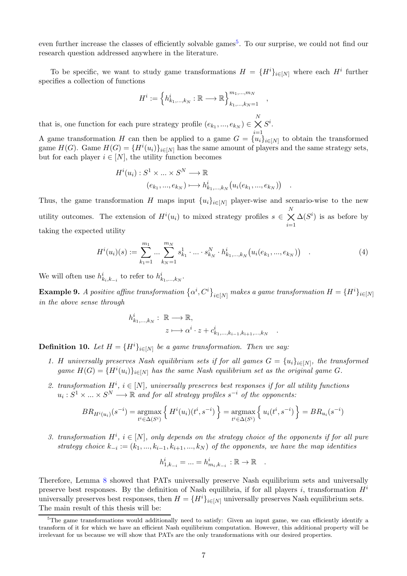even further increase the classes of efficiently solvable games<sup>[5](#page-6-0)</sup>. To our surprise, we could not find our research question addressed anywhere in the literature.

To be specific, we want to study game transformations  $H = \{H^i\}_{i \in [N]}$  where each  $H^i$  further specifies a collection of functions

$$
H^{i} := \left\{ h^{i}_{k_{1},...,k_{N}} : \mathbb{R} \longrightarrow \mathbb{R} \right\}_{k_{1},...,k_{N}=1}^{m_{1},...,m_{N}},
$$

that is, one function for each pure strategy profile  $(e_{k_1},...,e_{k_N}) \in$  $\underset{i=1}{\overset{N}{\times}}$  $S^i.$ 

A game transformation H can then be applied to a game  $G = \{u_i\}_{i \in [N]}$  to obtain the transformed game  $H(G)$ . Game  $H(G) = {H<sup>i</sup>(u<sub>i</sub>)}_{i \in [N]}$  has the same amount of players and the same strategy sets, but for each player  $i \in [N]$ , the utility function becomes

$$
H^{i}(u_{i}): S^{1} \times \ldots \times S^{N} \longrightarrow \mathbb{R}
$$

$$
(e_{k_{1}},...,e_{k_{N}}) \longmapsto h^{i}_{k_{1},...,k_{N}}(u_{i}(e_{k_{1}},...,e_{k_{N}})) .
$$

Thus, the game transformation H maps input  ${u_i}_{i\in[N]}$  player-wise and scenario-wise to the new utility outcomes. The extension of  $H^{i}(u_i)$  to mixed strategy profiles  $s \in$  $\underset{i=1}{\overset{N}{\times}}$  $\Delta(S^i)$  is as before by taking the expected utility

<span id="page-6-1"></span>
$$
H^{i}(u_{i})(s) := \sum_{k_{1}=1}^{m_{1}} \dots \sum_{k_{N}=1}^{m_{N}} s_{k_{1}}^{1} \cdot \dots \cdot s_{k_{N}}^{N} \cdot h_{k_{1},...,k_{N}}^{i}(u_{i}(e_{k_{1}},...,e_{k_{N}}))
$$
 (4)

We will often use  $h_{k_i,k_{-i}}^i$  to refer to  $h_{k_1,\ldots,k_N}^i$ .

 $\bf{Example~9.}$  A positive affine transformation  $\left\{\alpha^i,C^i\right\}_{i\in[N]}$  makes a game transformation  $H=\{H^i\}_{i\in[N]}$ in the above sense through

$$
h_{k_1,\ldots,k_N}^i: \mathbb{R} \longrightarrow \mathbb{R},
$$
  

$$
z \longmapsto \alpha^i \cdot z + c_{k_1,\ldots,k_{i-1},k_{i+1},\ldots,k_N}^i
$$

**Definition 10.** Let  $H = {H<sup>i</sup>}_{i \in [N]}$  be a game transformation. Then we say:

- 1. H universally preserves Nash equilibrium sets if for all games  $G = \{u_i\}_{i \in [N]}$ , the transformed game  $H(G) = {H<sup>i</sup>(u<sub>i</sub>)}_{i \in [N]}$  has the same Nash equilibrium set as the original game G.
- 2. transformation  $H^i$ ,  $i \in [N]$ , universally preserves best responses if for all utility functions  $u_i: S^1 \times \ldots \times S^N \longrightarrow \mathbb{R}$  and for all strategy profiles  $s^{-i}$  of the opponents:

$$
BR_{H^i(u_i)}(s^{-i}) = \underset{i^i \in \Delta(S^i)}{\text{argmax}} \left\{ H^i(u_i)(t^i, s^{-i}) \right\} = \underset{i^i \in \Delta(S^i)}{\text{argmax}} \left\{ u_i(t^i, s^{-i}) \right\} = BR_{u_i}(s^{-i})
$$

3. transformation  $H^i$ ,  $i \in [N]$ , only depends on the strategy choice of the opponents if for all pure strategy choice  $k_{-i} := (k_1, ..., k_{i-1}, k_{i+1}, ..., k_N)$  of the opponents, we have the map identities

$$
h_{1,k_{-i}}^{i} = ... = h_{m_{i},k_{-i}}^{i} : \mathbb{R} \to \mathbb{R} .
$$

Therefore, Lemma [8](#page-5-0) showed that PATs universally preserve Nash equilibrium sets and universally preserve best responses. By the definition of Nash equilibria, if for all players i, transformation  $H^i$ universally preserves best responses, then  $H = \{H^i\}_{i \in [N]}$  universally preserves Nash equilibrium sets. The main result of this thesis will be:

<span id="page-6-0"></span><sup>&</sup>lt;sup>5</sup>The game transformations would additionally need to satisfy: Given an input game, we can efficiently identify a transform of it for which we have an efficient Nash equilibrium computation. However, this additional property will be irrelevant for us because we will show that PATs are the only transformations with our desired properties.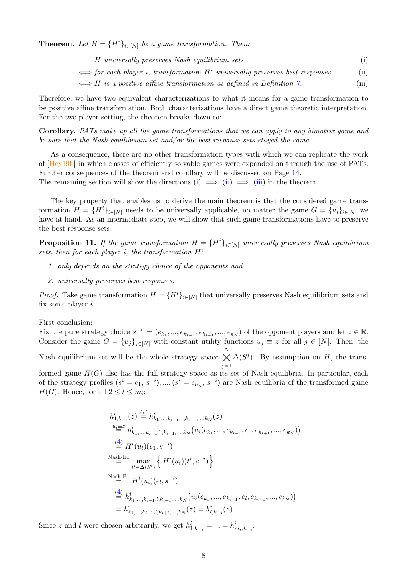**Theorem.** Let  $H = {H^i}_{i \in [N]}$  be a game transformation. Then:

| H universally preserves Nash equilibrium sets<br>$\iff$ for each player i, transformation $H^i$ universally preserves best responses<br>$\iff$ H is a positive affine transformation as defined in Definition 7. | $\rm(i)$ |  |
|------------------------------------------------------------------------------------------------------------------------------------------------------------------------------------------------------------------|----------|--|
|                                                                                                                                                                                                                  | (ii)     |  |
|                                                                                                                                                                                                                  | (iii)    |  |

Therefore, we have two equivalent characterizations to what it means for a game transformation to be positive affine transformation. Both characterizations have a direct game theoretic interpretation. For the two-player setting, the theorem breaks down to:

Corollary. PATs make up all the game transformations that we can apply to any bimatrix game and be sure that the Nash equilibrium set and/or the best response sets stayed the same.

As a consequence, there are no other transformation types with which we can replicate the work of [\[Hey19b\]](#page-14-5) in which classes of efficiently solvable games were expanded on through the use of PATs. Further consequences of the theorem and corollary will be discussed on Page [14.](#page-13-0) The remaining section will show the directions [\(i\)](#page-12-1)  $\implies$  [\(ii\)](#page-12-2)  $\implies$  [\(iii\)](#page-12-3) in the theorem.

The key property that enables us to derive the main theorem is that the considered game transformation  $H = \{H^i\}_{i \in [N]}$  needs to be universally applicable, no matter the game  $G = \{u_i\}_{i \in [N]}$  we have at hand. As an intermediate step, we will show that such game transformations have to preserve the best response sets.

<span id="page-7-0"></span>**Proposition 11.** If the game transformation  $H = \{H^i\}_{i \in [N]}$  universally preserves Nash equilibrium sets, then for each player i, the transformation  $H^i$ 

- 1. only depends on the strategy choice of the opponents and
- 2. universally preserves best responses.

*Proof.* Take game transformation  $H = \{H^i\}_{i \in [N]}$  that universally preserves Nash equilibrium sets and fix some player  $i$ .

First conclusion:

Fix the pure strategy choice  $s^{-i} := (e_{k_1},...,e_{k_{i-1}},e_{k_{i+1}},...,e_{k_N})$  of the opponent players and let  $z \in \mathbb{R}$ . Consider the game  $G = \{u_j\}_{j \in [N]}$  with constant utility functions  $u_j \equiv z$  for all  $j \in [N]$ . Then, the Nash equilibrium set will be the whole strategy space  $\bigtimes^N \Delta(S^j)$ . By assumption on H, the trans $j=1$ formed game  $H(G)$  also has the full strategy space as its set of Nash equilibria. In particular, each

of the strategy profiles  $(s^i = e_1, s^{-i}), ..., (s^i = e_{m_i}, s^{-i})$  are Nash equilibria of the transformed game  $H(G)$ . Hence, for all  $2 \leq l \leq m_i$ :

$$
h_{1,k_{-i}}^{i}(z) \stackrel{\text{def}}{=} h_{k_{1},...,k_{i-1},1,k_{i+1},...,k_{N}}^{i}(z)
$$
  
\n
$$
\stackrel{u_{i}\equiv z}{=} h_{k_{1},...,k_{i-1},1,k_{i+1},...,k_{N}}^{i}(u_{i}(e_{k_{1}},...,e_{k_{i-1}},e_{1},e_{k_{i+1}},...,e_{k_{N}}))
$$
  
\n
$$
\stackrel{(4)}{=} H^{i}(u_{i})(e_{1},s^{-i})
$$
  
\n
$$
\stackrel{\text{Nash-Eq}}{=} \max_{t^{i} \in \Delta(S^{i})} \left\{ H^{i}(u_{i})(t^{i},s^{-i}) \right\}
$$
  
\n
$$
\stackrel{\text{Nash-Eq}}{=} H^{i}(u_{i})(e_{l},s^{-l})
$$
  
\n
$$
\stackrel{(4)}{=} h_{k_{1},...,k_{i-1},l,k_{i+1},...,k_{N}}^{i}(u_{i}(e_{k_{1}},...,e_{k_{i-1}},e_{l},e_{k_{i+1}},...,e_{k_{N}}))
$$
  
\n
$$
= h_{k_{1},...,k_{i-1},l,k_{i+1},...,k_{N}}^{i}(z) = h_{l,k_{-i}}^{i}(z)
$$

Since z and l were chosen arbitrarily, we get  $h_{1,k_{-i}}^i = ... = h_{m_i,k_{-i}}^i$ .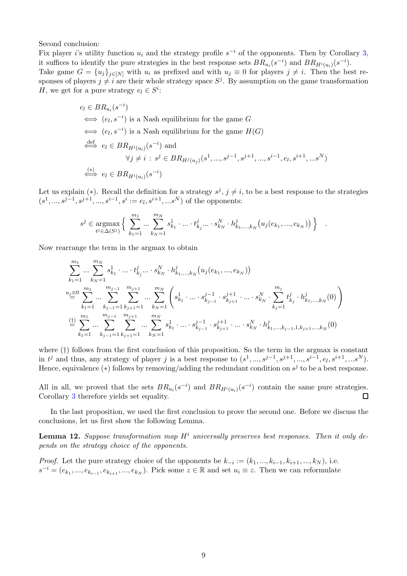Second conclusion:

Fix player i's utility function  $u_i$  and the strategy profile  $s^{-i}$  of the opponents. Then by Corollary [3,](#page-3-2) it suffices to identify the pure strategies in the best response sets  $BR_{u_i}(s^{-i})$  and  $BR_{H^i(u_i)}(s^{-i})$ .

Take game  $G = \{u_j\}_{j \in [N]}$  with  $u_i$  as prefixed and with  $u_j \equiv 0$  for players  $j \neq i$ . Then the best responses of players  $j \neq i$  are their whole strategy space  $S^j$ . By assumption on the game transformation H, we get for a pure strategy  $e_l \in S^i$ :

$$
e_l \in BR_{u_i}(s^{-i})
$$
  
\n
$$
\iff (e_l, s^{-i}) \text{ is a Nash equilibrium for the game } G
$$
  
\n
$$
\iff (e_l, s^{-i}) \text{ is a Nash equilibrium for the game } H(G)
$$
  
\n
$$
\stackrel{\text{def}}{\iff} e_l \in BR_{H^i(u_i)}(s^{-i}) \text{ and}
$$
  
\n
$$
\forall j \neq i : s^j \in BR_{H^j(u_j)}(s^1, \dots, s^{j-1}, s^{j+1}, \dots, s^{i-1}, e_l, s^{i+1}, \dots, s^N)
$$
  
\n
$$
\stackrel{(*)}{\iff} e_l \in BR_{H^i(u_i)}(s^{-i})
$$

Let us explain (\*). Recall the definition for a strategy  $s^j$ ,  $j \neq i$ , to be a best response to the strategies  $(s<sup>1</sup>, ..., s<sup>j-1</sup>, s<sup>j+1</sup>, ..., s<sup>i-1</sup>, s<sup>i</sup> := e<sub>l</sub>, s<sup>i+1</sup>, ... s<sup>N</sup>)$  of the opponents:

$$
s^j \in \mathop{\rm argmax}_{t^j \in \Delta(S^j)} \Big\{ \sum_{k_1=1}^{m_1} \dots \sum_{k_N=1}^{m_N} s^1_{k_1} \cdot \dots \cdot t^j_{k_j} \dots \cdot s^N_{k_N} \cdot h^j_{k_1, \dots, k_N} \big( u_j(e_{k_1}, ..., e_{k_N}) \big) \Big\} \quad .
$$

Now rearrange the term in the argmax to obtain

$$
\sum_{k_1=1}^{m_1} \dots \sum_{k_N=1}^{m_N} s_{k_1}^1 \cdot \dots \cdot t_{k_j}^j \dots \cdot s_{k_N}^N \cdot h_{k_1, \dots, k_N}^j (u_j(e_{k_1}, \dots, e_{k_N}))
$$
\n
$$
u_j \equiv 0 \sum_{k_1=1}^{m_1} \dots \sum_{k_{j-1}=1}^{m_{j-1}} \sum_{k_{j+1}=1}^{m_{j+1}} \dots \sum_{k_N=1}^{m_N} \left( s_{k_1}^1 \cdot \dots \cdot s_{k_{j-1}}^{j-1} \cdot s_{k_{j+1}}^{j+1} \cdot \dots \cdot s_{k_N}^N \cdot \sum_{k_j=1}^{m_j} t_{k_j}^j \cdot h_{k_1, \dots, k_N}^j (0) \right)
$$
\n
$$
\stackrel{\text{(i)}}{=} \sum_{k_1=1}^{m_1} \dots \sum_{k_{j-1}=1}^{m_{j-1}} \sum_{k_{j+1}=1}^{m_{j+1}} \dots \sum_{k_N=1}^{m_N} s_{k_1}^1 \cdot \dots \cdot s_{k_{j-1}}^{j-1} \cdot s_{k_{j+1}}^{j+1} \cdot \dots \cdot s_{k_N}^N \cdot h_{k_1, \dots, k_{j-1}, 1, k_{j+1}, \dots, k_N}^j (0)
$$

where  $(†)$  follows from the first conclusion of this proposition. So the term in the argmax is constant in  $t^j$  and thus, any strategy of player j is a best response to  $(s^1, ..., s^{j-1}, s^{j+1}, ..., s^{i-1}, e_l, s^{i+1}, ... s^N)$ . Hence, equivalence (\*) follows by removing/adding the redundant condition on  $s^j$  to be a best response.

All in all, we proved that the sets  $BR_{u_i}(s^{-i})$  and  $BR_{H^i(u_i)}(s^{-i})$  contain the same pure strategies. Corollary [3](#page-3-2) therefore yields set equality.  $\Box$ 

In the last proposition, we used the first conclusion to prove the second one. Before we discuss the conclusions, let us first show the following Lemma.

<span id="page-8-0"></span>**Lemma 12.** Suppose transformation map  $H^i$  universally preserves best responses. Then it only depends on the strategy choice of the opponents.

*Proof.* Let the pure strategy choice of the opponents be  $k_{-i} := (k_1, ..., k_{i-1}, k_{i+1}, ..., k_N)$ , i.e.  $s^{-i} = (e_{k_1},...,e_{k_{i-1}},e_{k_{i+1}},...,e_{k_N})$ . Pick some  $z \in \mathbb{R}$  and set  $u_i \equiv z$ . Then we can reformulate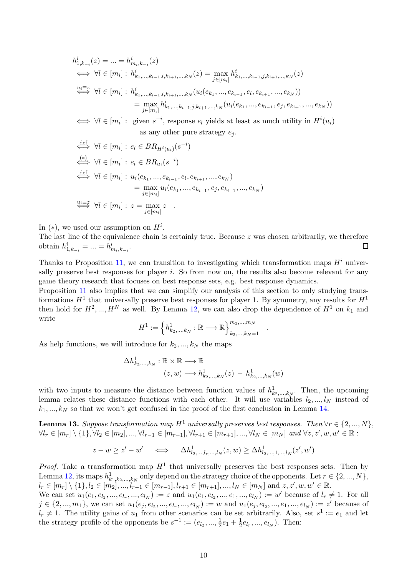$$
h_{1,k_{-i}}^{i}(z) = \ldots = h_{m_{i},k_{-i}}^{i}(z)
$$
  
\n
$$
\iff \forall l \in [m_{i}] : h_{k_{1},\ldots,k_{i-1},l,k_{i+1},\ldots,k_{N}}^{i}(z) = \max_{j \in [m_{i}]} h_{k_{1},\ldots,k_{i-1},j,k_{i+1},\ldots,k_{N}}^{i}(z)
$$
  
\n
$$
\stackrel{u_{i} \equiv z}{\iff} \forall l \in [m_{i}] : h_{k_{1},\ldots,k_{i-1},l,k_{i+1},\ldots,k_{N}}^{i}(u_{i}(e_{k_{1}},\ldots,e_{k_{i-1}},e_{l},e_{k_{i+1}},\ldots,e_{k_{N}}))
$$
  
\n
$$
= \max_{j \in [m_{i}]} h_{k_{1},\ldots,k_{i-1},j,k_{i+1},\ldots,k_{N}}^{i}(u_{i}(e_{k_{1}},\ldots,e_{k_{i-1}},e_{j},e_{k_{i+1}},\ldots,e_{k_{N}}))
$$
  
\n
$$
\iff \forall l \in [m_{i}] : \text{ given } s^{-i}, \text{ response } e_{l} \text{ yields at least as much utility in } H^{i}(u_{i})
$$
  
\nas any other pure strategy  $e_{j}$ .  
\n
$$
\stackrel{\text{def}}{\iff} \forall l \in [m_{i}] : e_{l} \in BR_{H^{i}(u_{i})}(s^{-i})
$$
  
\n
$$
\stackrel{\text{def}}{\iff} \forall l \in [m_{i}] : u_{i}(e_{k_{1}},\ldots,e_{k_{i-1}},e_{l},e_{k_{i+1}},\ldots,e_{k_{N}})
$$
  
\n
$$
= \max_{j \in [m_{i}]} u_{i}(e_{k_{1}},\ldots,e_{k_{i-1}},e_{j},e_{k_{i+1}},\ldots,e_{k_{N}})
$$
  
\n
$$
\stackrel{u_{i} \equiv z}{\iff} \forall l \in [m_{i}] : z = \max_{j \in [m_{i}]} z
$$

In  $(*)$ , we used our assumption on  $H^i$ .

The last line of the equivalence chain is certainly true. Because z was chosen arbitrarily, we therefore obtain  $h_{1,k_{-i}}^i = ... = h_{m_i,k_{-i}}^i$ .  $\Box$ 

Thanks to Proposition [11,](#page-7-0) we can transition to investigating which transformation maps  $H^i$  universally preserve best responses for player i. So from now on, the results also become relevant for any game theory research that focuses on best response sets, e.g. best response dynamics.

Proposition [11](#page-7-0) also implies that we can simplify our analysis of this section to only studying transformations  $H^1$  that universally preserve best responses for player 1. By symmetry, any results for  $H^1$ then hold for  $H^2, ..., H^N$  as well. By Lemma [12,](#page-8-0) we can also drop the dependence of  $H^1$  on  $k_1$  and write

$$
H^{1} := \left\{ h_{k_{2},...,k_{N}}^{1} : \mathbb{R} \longrightarrow \mathbb{R} \right\}_{k_{2},...,k_{N}=1}^{m_{2},...,m_{N}} .
$$

As help functions, we will introduce for  $k_2, ..., k_N$  the maps

$$
\Delta h_{k_2,\dots,k_N}^1: \mathbb{R} \times \mathbb{R} \longrightarrow \mathbb{R}
$$
  

$$
(z,w) \longmapsto h_{k_2,\dots,k_N}^1(z) - h_{k_2,\dots,k_N}^1(w)
$$

with two inputs to measure the distance between function values of  $h^1_{k_2,...,k_N}$ . Then, the upcoming lemma relates these distance functions with each other. It will use variables  $l_2, ..., l_N$  instead of  $k_1, ..., k_N$  so that we won't get confused in the proof of the first conclusion in Lemma [14.](#page-10-0)

<span id="page-9-0"></span>**Lemma 13.** Suppose transformation map  $H^1$  universally preserves best responses. Then  $\forall r \in \{2, ..., N\}$ ,  $\forall l_r \in [m_r] \setminus \{1\}, \forall l_2 \in [m_2], ..., \forall l_{r-1} \in [m_{r-1}], \forall l_{r+1} \in [m_{r+1}], ..., \forall l_N \in [m_N]$  and  $\forall z, z', w, w' \in \mathbb{R}$ :

$$
z - w \ge z' - w' \quad \iff \quad \Delta h^1_{l_2,\dots,l_r,\dots,l_N}(z,w) \ge \Delta h^1_{l_2,\dots,1,\dots,l_N}(z',w')
$$

*Proof.* Take a transformation map  $H^1$  that universally preserves the best responses sets. Then by Lemma [12,](#page-8-0) its maps  $h^1_{k_1,k_2,...,k_N}$  only depend on the strategy choice of the opponents. Let  $r \in \{2,...,N\}$ ,  $l_r \in [m_r] \setminus \{1\}, l_2 \in [m_2], \ldots, l_{r-1} \in [m_{r-1}], l_{r+1} \in [m_{r+1}], \ldots, l_N \in [m_N]$  and  $z, z', w, w' \in \mathbb{R}$ .

We can set  $u_1(e_1, e_1, \ldots, e_{l_r}, \ldots, e_{l_N}) := z$  and  $u_1(e_1, e_{l_2}, \ldots, e_{l_N}, \ldots, e_{l_N}) := w'$  because of  $l_r \neq 1$ . For all  $j \in \{2, ..., m_1\}$ , we can set  $u_1(e_j, e_{l_2}, ..., e_{l_r}, ..., e_{l_N}) := w$  and  $u_1(e_j, e_{l_2}, ..., e_{l}, ..., e_{l_N}) := z'$  because of  $l_r \neq 1$ . The utility gains of  $u_1$  from other scenarios can be set arbitrarily. Also, set  $s^1 := e_1$  and let the strategy profile of the opponents be  $s^{-1} := (e_{l_2}, ..., \frac{l_l}{2})$  $rac{1}{2}e_1 + \frac{1}{2}$  $\frac{1}{2}e_{l_r}, ..., e_{l_N}$ ). Then: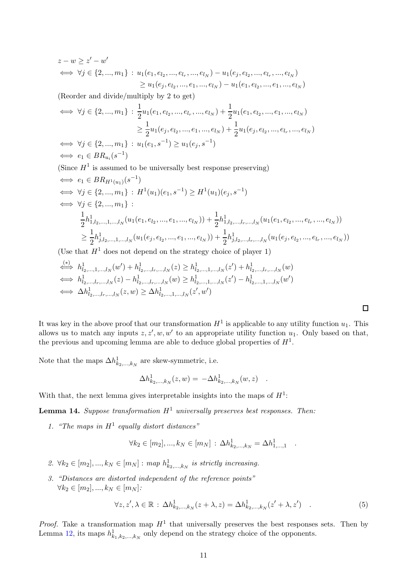$$
z - w \ge z' - w'
$$
  
\n
$$
\iff \forall j \in \{2, ..., m_1\} : u_1(e_1, e_{l_2}, ..., e_{l_r}, ..., e_{l_N}) - u_1(e_j, e_{l_2}, ..., e_{l_r}, ..., e_{l_N})
$$
  
\n
$$
\ge u_1(e_j, e_{l_2}, ..., e_1, ..., e_{l_N}) - u_1(e_1, e_{l_2}, ..., e_1, ..., e_{l_N})
$$

(Reorder and divide/multiply by 2 to get)

$$
\iff \forall j \in \{2, ..., m_1\} : \frac{1}{2} u_1(e_1, e_{l_2}, ..., e_{l_r}, ..., e_{l_N}) + \frac{1}{2} u_1(e_1, e_{l_2}, ..., e_1, ..., e_{l_N})
$$
  
\n
$$
\geq \frac{1}{2} u_1(e_j, e_{l_2}, ..., e_1, ..., e_{l_N}) + \frac{1}{2} u_1(e_j, e_{l_2}, ..., e_{l_r}, ..., e_{l_N})
$$
  
\n
$$
\iff \forall j \in \{2, ..., m_1\} : u_1(e_1, s^{-1}) \geq u_1(e_j, s^{-1})
$$
  
\n
$$
\iff e_1 \in BR_{u_i}(s^{-1})
$$

(Since  $H<sup>1</sup>$  is assumed to be universally best response preserving)

⇐⇒ e<sup>1</sup> ∈ BRH1(u1) (s −1 ) ⇐⇒ ∀j ∈ {2, ..., m1} : H 1 (u1)(e1, s−<sup>1</sup> ) ≥ H 1 (u1)(e<sup>j</sup> , s−<sup>1</sup> ) ⇐⇒ ∀j ∈ {2, ..., m1} : 1 2 h 1 1,l2,...,1,...,l<sup>N</sup> (u1(e1, el<sup>2</sup> , ..., e1, ..., el<sup>N</sup> )) + <sup>1</sup> 2 h 1 1,l2,...,lr,...,l<sup>N</sup> (u1(e1, el<sup>2</sup> , ..., el<sup>r</sup> , ..., el<sup>N</sup> )) ≥ 1 2 h 1 j,l2,...,1,...,l<sup>N</sup> (u1(e<sup>j</sup> , el<sup>2</sup> , ..., e1, ..., el<sup>N</sup> )) + <sup>1</sup> 2 h 1 j,l2,...,lr,...,l<sup>N</sup> (u1(e<sup>j</sup> , el<sup>2</sup> , ..., el<sup>r</sup> , ..., el<sup>N</sup> ))

(Use that  $H^1$  does not depend on the strategy choice of player 1)

$$
\stackrel{(*)}{\iff} h^1_{l_2,\dots,1,\dots,l_N}(w') + h^1_{l_2,\dots,l_r,\dots,l_N}(z) \geq h^1_{l_2,\dots,1,\dots,l_N}(z') + h^1_{l_2,\dots,l_r,\dots,l_N}(w)
$$
  
\n
$$
\stackrel{(*)}{\iff} h^1_{l_2,\dots,l_r,\dots,l_N}(z) - h^1_{l_2,\dots,1,r,\dots,l_N}(w) \geq h^1_{l_2,\dots,1,\dots,l_N}(z') - h^1_{l_2,\dots,1,\dots,l_N}(w')
$$
  
\n
$$
\stackrel{(*)}{\iff} \Delta h^1_{l_2,\dots,l_r,\dots,l_N}(z,w) \geq \Delta h^1_{l_2,\dots,1,\dots,l_N}(z',w')
$$

It was key in the above proof that our transformation  $H^1$  is applicable to any utility function  $u_1$ . This allows us to match any inputs  $z, z', w, w'$  to an appropriate utility function  $u_1$ . Only based on that, the previous and upcoming lemma are able to deduce global properties of  $H<sup>1</sup>$ .

Note that the maps  $\Delta h_{k_2,...,k_N}^1$  are skew-symmetric, i.e.

$$
\Delta h^1_{k_2,...,k_N}(z,w) = -\Delta h^1_{k_2,...,k_N}(w,z) .
$$

With that, the next lemma gives interpretable insights into the maps of  $H^1$ :

<span id="page-10-0"></span>**Lemma 14.** Suppose transformation  $H^1$  universally preserves best responses. Then:

1. "The maps in  $H^1$  equally distort distances"

$$
\forall k_2 \in [m_2], ..., k_N \in [m_N] : \Delta h^1_{k_2,...,k_N} = \Delta h^1_{1,...,1}
$$

- 2.  $\forall k_2 \in [m_2], ..., k_N \in [m_N] : map \ h_{k_2,...,k_N}^1$  is strictly increasing.
- 3. "Distances are distorted independent of the reference points"  $\forall k_2 \in [m_2], ..., k_N \in [m_N]$ :

$$
\forall z, z', \lambda \in \mathbb{R} : \Delta h_{k_2,\dots,k_N}^1(z + \lambda, z) = \Delta h_{k_2,\dots,k_N}^1(z' + \lambda, z') \quad . \tag{5}
$$

<span id="page-10-1"></span>.

*Proof.* Take a transformation map  $H^1$  that universally preserves the best responses sets. Then by Lemma [12,](#page-8-0) its maps  $h^1_{k_1,k_2,\dots,k_N}$  only depend on the strategy choice of the opponents.

 $\Box$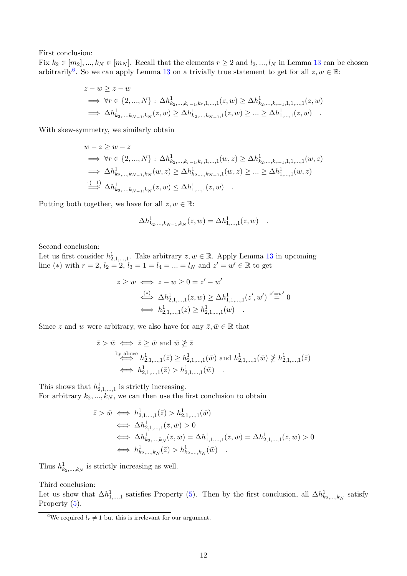First conclusion:

Fix  $k_2 \in [m_2], ..., k_N \in [m_N]$ . Recall that the elements  $r \ge 2$  and  $l_2, ..., l_N$  in Lemma [13](#page-9-0) can be chosen arbitrarily<sup>[6](#page-11-0)</sup>. So we can apply Lemma [13](#page-9-0) on a trivially true statement to get for all  $z, w \in \mathbb{R}$ :

$$
z - w \ge z - w
$$
  
\n
$$
\implies \forall r \in \{2, ..., N\} : \Delta h^1_{k_2, ..., k_{r-1}, k_r, 1, ..., 1}(z, w) \ge \Delta h^1_{k_2, ..., k_{r-1}, 1, 1, ..., 1}(z, w)
$$
  
\n
$$
\implies \Delta h^1_{k_2, ..., k_{N-1}, k_N}(z, w) \ge \Delta h^1_{k_2, ..., k_{N-1}, 1}(z, w) \ge ... \ge \Delta h^1_{1, ..., 1}(z, w)
$$

With skew-symmetry, we similarly obtain

$$
w - z \ge w - z
$$
  
\n
$$
\implies \forall r \in \{2, ..., N\} : \Delta h_{k_2, ..., k_{r-1}, k_r, 1, ..., 1}^1(w, z) \ge \Delta h_{k_2, ..., k_{r-1}, 1, 1, ..., 1}^1(w, z)
$$
  
\n
$$
\implies \Delta h_{k_2, ..., k_{N-1}, k_N}^1(w, z) \ge \Delta h_{k_2, ..., k_{N-1}, 1}^1(w, z) \ge ... \ge \Delta h_{1, ..., 1}^1(w, z)
$$
  
\n
$$
\implies \Delta h_{k_2, ..., k_{N-1}, k_N}^1(z, w) \le \Delta h_{1, ..., 1}^1(z, w)
$$

Putting both together, we have for all  $z, w \in \mathbb{R}$ :

$$
\Delta h^1_{k_2,\dots,k_{N-1},k_N}(z,w) = \Delta h^1_{1,\dots,1}(z,w) .
$$

Second conclusion:

Let us first consider  $h_{2,1,\dots,1}^1$ . Take arbitrary  $z, w \in \mathbb{R}$ . Apply Lemma [13](#page-9-0) in upcoming line (\*) with  $r = 2$ ,  $l_2 = 2$ ,  $l_3 = 1 = l_4 = ... = l_N$  and  $z' = w' \in \mathbb{R}$  to get

$$
z \ge w \iff z - w \ge 0 = z' - w'
$$
  
\n
$$
\stackrel{(*)}{\iff} \Delta h_{2,1,\dots,1}^1(z, w) \ge \Delta h_{1,1,\dots,1}^1(z', w') \stackrel{z'=w'}{=} 0
$$
  
\n
$$
\iff h_{2,1,\dots,1}^1(z) \ge h_{2,1,\dots,1}^1(w) .
$$

Since z and w were arbitrary, we also have for any  $\bar{z}, \bar{w} \in \mathbb{R}$  that

$$
\bar{z} > \bar{w} \iff \bar{z} \ge \bar{w} \text{ and } \bar{w} \not\ge \bar{z}
$$
  
\nby above  
\n
$$
h_{2,1,\dots,1}^1(\bar{z}) \ge h_{2,1,\dots,1}^1(\bar{w}) \text{ and } h_{2,1,\dots,1}^1(\bar{w}) \not\ge h_{2,1,\dots,1}^1(\bar{z})
$$
  
\n
$$
\iff h_{2,1,\dots,1}^1(\bar{z}) > h_{2,1,\dots,1}^1(\bar{w})
$$
.

This shows that  $h_{2,1,\dots,1}^1$  is strictly increasing.

For arbitrary  $k_2, ..., k_N$ , we can then use the first conclusion to obtain

$$
\bar{z} > \bar{w} \iff h_{2,1,\dots,1}^1(\bar{z}) > h_{2,1,\dots,1}^1(\bar{w})
$$
  
\n
$$
\iff \Delta h_{2,1,\dots,1}^1(\bar{z}, \bar{w}) > 0
$$
  
\n
$$
\iff \Delta h_{k_2,\dots,k_N}^1(\bar{z}, \bar{w}) = \Delta h_{1,1,\dots,1}^1(\bar{z}, \bar{w}) = \Delta h_{2,1,\dots,1}^1(\bar{z}, \bar{w}) > 0
$$
  
\n
$$
\iff h_{k_2,\dots,k_N}^1(\bar{z}) > h_{k_2,\dots,k_N}^1(\bar{w}) .
$$

Thus  $h^1_{k_2,\dots,k_N}$  is strictly increasing as well.

Third conclusion:

Let us show that  $\Delta h_{1,...,1}^1$  satisfies Property [\(5\)](#page-10-1). Then by the first conclusion, all  $\Delta h_{k_2,...,k_N}^1$  satisfy Property [\(5\)](#page-10-1).

<span id="page-11-0"></span><sup>&</sup>lt;sup>6</sup>We required  $l_r \neq 1$  but this is irrelevant for our argument.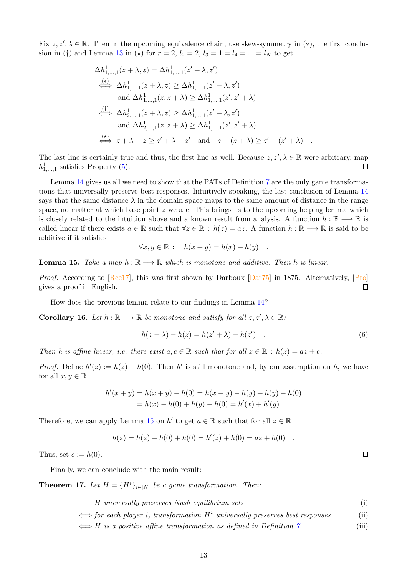Fix  $z, z', \lambda \in \mathbb{R}$ . Then in the upcoming equivalence chain, use skew-symmetry in  $(*)$ , the first conclu-sion in (†) and Lemma [13](#page-9-0) in (\*) for  $r = 2$ ,  $l_2 = 2$ ,  $l_3 = 1 = l_4 = ... = l_N$  to get

$$
\Delta h_{1,\dots,1}^1(z+\lambda, z) = \Delta h_{1,\dots,1}^1(z'+\lambda, z')
$$
\n
$$
\stackrel{(*)}{\iff} \Delta h_{1,\dots,1}^1(z+\lambda, z) \ge \Delta h_{1,\dots,1}^1(z'+\lambda, z')
$$
\nand  $\Delta h_{1,\dots,1}^1(z, z + \lambda) \ge \Delta h_{1,\dots,1}^1(z', z' + \lambda)$ \n
$$
\stackrel{(\dagger)}{\iff} \Delta h_{2,\dots,1}^1(z+\lambda, z) \ge \Delta h_{1,\dots,1}^1(z'+\lambda, z')
$$
\nand  $\Delta h_{2,\dots,1}^1(z, z + \lambda) \ge \Delta h_{1,\dots,1}^1(z', z' + \lambda)$ \n
$$
\stackrel{(\star)}{\iff} z + \lambda - z \ge z' + \lambda - z' \quad \text{and} \quad z - (z + \lambda) \ge z' - (z' + \lambda) \quad .
$$

The last line is certainly true and thus, the first line as well. Because  $z, z', \lambda \in \mathbb{R}$  were arbitrary, map  $h_{1,\dots,1}^1$  satisfies Property [\(5\)](#page-10-1).  $\Box$ 

Lemma [14](#page-10-0) gives us all we need to show that the PATs of Definition [7](#page-4-2) are the only game transformations that universally preserve best responses. Intuitively speaking, the last conclusion of Lemma [14](#page-10-0) says that the same distance  $\lambda$  in the domain space maps to the same amount of distance in the range space, no matter at which base point  $z$  we are. This brings us to the upcoming helping lemma which is closely related to the intuition above and a known result from analysis. A function  $h : \mathbb{R} \longrightarrow \mathbb{R}$  is called linear if there exists  $a \in \mathbb{R}$  such that  $\forall z \in \mathbb{R} : h(z) = az$ . A function  $h : \mathbb{R} \longrightarrow \mathbb{R}$  is said to be additive if it satisfies

$$
\forall x, y \in \mathbb{R} : \quad h(x+y) = h(x) + h(y) \quad .
$$

<span id="page-12-4"></span>**Lemma 15.** Take a map  $h : \mathbb{R} \longrightarrow \mathbb{R}$  which is monotone and additive. Then h is linear.

Proof. According to  $\sqrt{[Ree17]}$ , this was first shown by Darboux  $\sqrt{[Par75]}$  in 1875. Alternatively,  $\sqrt{[Pro]}$ gives a proof in English.  $\Box$ 

How does the previous lemma relate to our findings in Lemma [14?](#page-10-0)

<span id="page-12-5"></span>**Corollary 16.** Let  $h : \mathbb{R} \longrightarrow \mathbb{R}$  be monotone and satisfy for all  $z, z', \lambda \in \mathbb{R}$ .

<span id="page-12-6"></span>
$$
h(z + \lambda) - h(z) = h(z' + \lambda) - h(z') \quad . \tag{6}
$$

Then h is affine linear, i.e. there exist  $a, c \in \mathbb{R}$  such that for all  $z \in \mathbb{R} : h(z) = az + c$ .

*Proof.* Define  $h'(z) := h(z) - h(0)$ . Then h' is still monotone and, by our assumption on h, we have for all  $x, y \in \mathbb{R}$ 

$$
h'(x + y) = h(x + y) - h(0) = h(x + y) - h(y) + h(y) - h(0)
$$
  
=  $h(x) - h(0) + h(y) - h(0) = h'(x) + h'(y)$ .

Therefore, we can apply Lemma [15](#page-12-4) on  $h'$  to get  $a \in \mathbb{R}$  such that for all  $z \in \mathbb{R}$ 

$$
h(z) = h(z) - h(0) + h(0) = h'(z) + h(0) = az + h(0) .
$$

Thus, set  $c := h(0)$ .

Finally, we can conclude with the main result:

<span id="page-12-0"></span>**Theorem 17.** Let  $H = {H^i}_{i \in [N]}$  be a game transformation. Then:

H universally preserves Nash equilibrium sets (i)

 $\Longleftrightarrow$  for each player i, transformation  $H^i$  universally preserves best responses (ii)

 $\iff$  H is a positive affine transformation as defined in Definition [7.](#page-4-2) (iii)

<span id="page-12-3"></span><span id="page-12-2"></span><span id="page-12-1"></span> $\Box$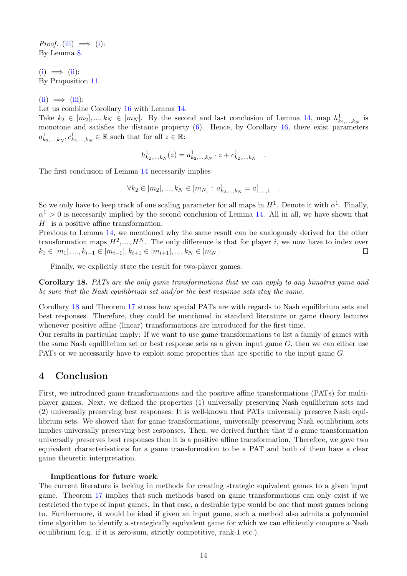*Proof.* [\(iii\)](#page-12-3)  $\implies$  [\(i\)](#page-12-1): By Lemma [8.](#page-5-0)

 $(i) \implies (ii)$  $(i) \implies (ii)$  $(i) \implies (ii)$ : By Proposition [11.](#page-7-0)

 $(ii) \implies (iii):$  $(ii) \implies (iii):$  $(ii) \implies (iii):$  $(ii) \implies (iii):$ 

Let us combine Corollary [16](#page-12-5) with Lemma [14.](#page-10-0)

Take  $k_2 \in [m_2], ..., k_N \in [m_N]$ . By the second and last conclusion of Lemma [14,](#page-10-0) map  $h^1_{k_2,...,k_N}$  is monotone and satisfies the distance property  $(6)$ . Hence, by Corollary [16,](#page-12-5) there exist parameters  $a^1_{k_2,\dots,k_N}, c^1_{k_2,\dots,k_N} \in \mathbb{R}$  such that for all  $z \in \mathbb{R}$ :

$$
h^1_{k_2,\ldots,k_N}(z) = a^1_{k_2,\ldots,k_N} \cdot z + c^1_{k_2,\ldots,k_N}
$$

.

.

The first conclusion of Lemma [14](#page-10-0) necessarily implies

$$
\forall k_2 \in [m_2], ..., k_N \in [m_N] : a^1_{k_2,...,k_N} = a^1_{1,...,1}
$$

So we only have to keep track of one scaling parameter for all maps in  $H^1$ . Denote it with  $\alpha^1$ . Finally,  $\alpha^{1} > 0$  is necessarily implied by the second conclusion of Lemma [14.](#page-10-0) All in all, we have shown that  $H<sup>1</sup>$  is a positive affine transformation.

Previous to Lemma [14,](#page-10-0) we mentioned why the same result can be analogously derived for the other transformation maps  $H^2, ..., H^N$ . The only difference is that for player i, we now have to index over  $k_1 \in [m_1], ..., k_{i-1} \in [m_{i-1}], k_{i+1} \in [m_{i+1}], ..., k_N \in [m_N].$ □

Finally, we explicitly state the result for two-player games:

<span id="page-13-0"></span>Corollary 18. PATs are the only game transformations that we can apply to any bimatrix game and be sure that the Nash equilibrium set and/or the best response sets stay the same.

Corollary [18](#page-13-0) and Theorem [17](#page-12-0) stress how special PATs are with regards to Nash equilibrium sets and best responses. Therefore, they could be mentioned in standard literature or game theory lectures whenever positive affine (linear) transformations are introduced for the first time.

Our results in particular imply: If we want to use game transformations to list a family of games with the same Nash equilibrium set or best response sets as a given input game  $G$ , then we can either use PATs or we necessarily have to exploit some properties that are specific to the input game G.

### 4 Conclusion

First, we introduced game transformations and the positive affine transformations (PATs) for multiplayer games. Next, we defined the properties (1) universally preserving Nash equilibrium sets and (2) universally preserving best responses. It is well-known that PATs universally preserve Nash equilibrium sets. We showed that for game transformations, universally preserving Nash equilibrium sets implies universally preserving best responses. Then, we derived further that if a game transformation universally preserves best responses then it is a positive affine transformation. Therefore, we gave two equivalent characterisations for a game transformation to be a PAT and both of them have a clear game theoretic interpretation.

### Implications for future work:

The current literature is lacking in methods for creating strategic equivalent games to a given input game. Theorem [17](#page-12-0) implies that such methods based on game transformations can only exist if we restricted the type of input games. In that case, a desirable type would be one that most games belong to. Furthermore, it would be ideal if given an input game, such a method also admits a polynomial time algorithm to identify a strategically equivalent game for which we can efficiently compute a Nash equilibrium (e.g. if it is zero-sum, strictly competitive, rank-1 etc.).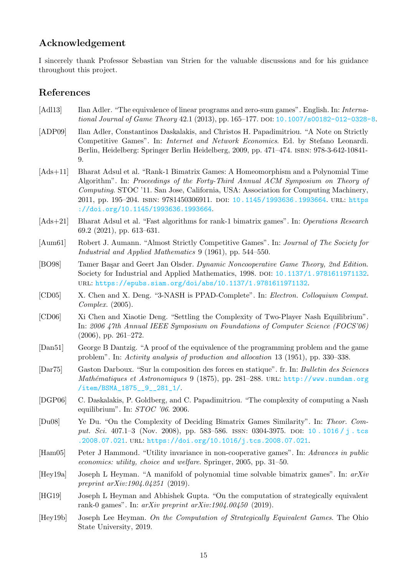# Acknowledgement

I sincerely thank Professor Sebastian van Strien for the valuable discussions and for his guidance throughout this project.

# <span id="page-14-1"></span>References

- [Adl13] Ilan Adler. "The equivalence of linear programs and zero-sum games". English. In: Interna-tional Journal of Game Theory 42.1 (2013), pp. 165–177. DOI: [10.1007/s00182-012-0328-8](https://doi.org/10.1007/s00182-012-0328-8).
- [ADP09] Ilan Adler, Constantinos Daskalakis, and Christos H. Papadimitriou. "A Note on Strictly Competitive Games". In: Internet and Network Economics. Ed. by Stefano Leonardi. Berlin, Heidelberg: Springer Berlin Heidelberg, 2009, pp. 471–474. isbn: 978-3-642-10841- 9.
- <span id="page-14-10"></span>[Ads+11] Bharat Adsul et al. "Rank-1 Bimatrix Games: A Homeomorphism and a Polynomial Time Algorithm". In: Proceedings of the Forty-Third Annual ACM Symposium on Theory of Computing. STOC '11. San Jose, California, USA: Association for Computing Machinery, 2011, pp. 195-204. ISBN: 9781450306911. DOI: [10.1145/1993636.1993664](https://doi.org/10.1145/1993636.1993664). URL: https ://doi.org/10.1145/1993636.1993664.
- <span id="page-14-11"></span>[Ads+21] Bharat Adsul et al. "Fast algorithms for rank-1 bimatrix games". In: Operations Research 69.2 (2021), pp. 613–631.
- <span id="page-14-7"></span>[Aum61] Robert J. Aumann. "Almost Strictly Competitive Games". In: Journal of The Society for Industrial and Applied Mathematics 9 (1961), pp. 544–550.
- <span id="page-14-6"></span>[BO98] Tamer Başar and Geert Jan Olsder. Dynamic Noncooperative Game Theory, 2nd Edition. Society for Industrial and Applied Mathematics, 1998. doi: [10.1137/1.9781611971132](https://doi.org/10.1137/1.9781611971132). url: <https://epubs.siam.org/doi/abs/10.1137/1.9781611971132>.
- <span id="page-14-3"></span>[CD05] X. Chen and X. Deng. "3-NASH is PPAD-Complete". In: Electron. Colloquium Comput. Complex. (2005).
- <span id="page-14-4"></span>[CD06] Xi Chen and Xiaotie Deng. "Settling the Complexity of Two-Player Nash Equilibrium". In: 2006 47th Annual IEEE Symposium on Foundations of Computer Science (FOCS'06) (2006), pp. 261–272.
- <span id="page-14-0"></span>[Dan51] George B Dantzig. "A proof of the equivalence of the programming problem and the game problem". In: Activity analysis of production and allocation 13 (1951), pp. 330–338.
- <span id="page-14-13"></span>[Dar75] Gaston Darboux. "Sur la composition des forces en statique". fr. In: Bulletin des Sciences Mathématiques et Astronomiques 9 (1875), pp. 281–288. URL: http://www.numdam.org /item/BSMA\_1875\_\_9\_\_281\_1/.
- <span id="page-14-2"></span>[DGP06] C. Daskalakis, P. Goldberg, and C. Papadimitriou. "The complexity of computing a Nash equilibrium". In: STOC '06. 2006.
- [Du08] Ye Du. "On the Complexity of Deciding Bimatrix Games Similarity". In: Theor. Comput. Sci. 407.1-3 (Nov. 2008), pp. 583-586. ISSN: 0304-3975. DOI: 10. 1016 / j. tcs .2008.07.021. [url](https://doi.org/10.1016/j.tcs.2008.07.021): <https://doi.org/10.1016/j.tcs.2008.07.021>.
- <span id="page-14-12"></span>[Ham05] Peter J Hammond. "Utility invariance in non-cooperative games". In: Advances in public economics: utility, choice and welfare. Springer, 2005, pp. 31–50.
- <span id="page-14-9"></span>[Hey19a] Joseph L Heyman. "A manifold of polynomial time solvable bimatrix games". In: arXiv preprint  $arXiv:1904.04251$  (2019).
- <span id="page-14-8"></span>[HG19] Joseph L Heyman and Abhishek Gupta. "On the computation of strategically equivalent rank-0 games". In: arXiv preprint arXiv:1904.00450 (2019).
- <span id="page-14-5"></span>[Hey19b] Joseph Lee Heyman. On the Computation of Strategically Equivalent Games. The Ohio State University, 2019.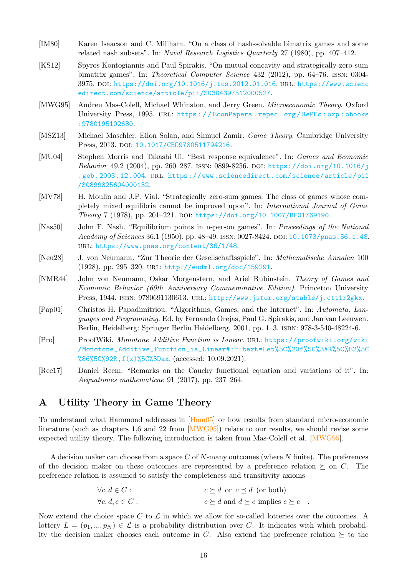- <span id="page-15-4"></span>[IM80] Karen Isaacson and C. Millham. "On a class of nash-solvable bimatrix games and some related nash subsets". In: Naval Research Logistics Quarterly 27 (1980), pp. 407–412.
- <span id="page-15-1"></span>[KS12] Spyros Kontogiannis and Paul Spirakis. "On mutual concavity and strategically-zero-sum bimatrix games". In: Theoretical Computer Science 432 (2012), pp. 64–76. issn: 0304- 3975. doi: [https://doi.org/10.1016/j.tcs.2012.01.016](https://doi.org/https://doi.org/10.1016/j.tcs.2012.01.016). url: https://www.scienc edirect.com/science/article/pii/S0304397512000527.
- <span id="page-15-11"></span>[MWG95] Andreu Mas-Colell, Michael Whinston, and Jerry Green. Microeconomic Theory. Oxford University Press, 1995. url: https : / / EconPapers . repec . org / RePEc : oxp : obooks :9780195102680[.](https://EconPapers.repec.org/RePEc:oxp:obooks:9780195102680)
- <span id="page-15-3"></span>[MSZ13] Michael Maschler, Eilon Solan, and Shmuel Zamir. Game Theory. Cambridge University Press, 2013. DOI: 10.1017/CB09780511794216.
- <span id="page-15-7"></span>[MU04] Stephen Morris and Takashi Ui. "Best response equivalence". In: Games and Economic Behavior 49.2 (2004), pp. 260–287. ISSN: 0899-8256. DOI: https://doi.org/10.1016/j .geb.2003.12.004. [url](https://doi.org/https://doi.org/10.1016/j.geb.2003.12.004): https://www.sciencedirect.com/science/article/pii /S0899825604000132.
- <span id="page-15-5"></span>[MV78] H. Moulin and J.P. Vial. "Strategically zero-sum games: The class of games whose completely mixed equilibria cannot be improved upon". In: International Journal of Game Theory 7 (1978), pp. 201–221. DOI: [https://doi.org/10.1007/BF01769190](https://doi.org/https://doi.org/10.1007/BF01769190).
- <span id="page-15-8"></span>[Nas50] John F. Nash. "Equilibrium points in n-person games". In: Proceedings of the National Academy of Sciences 36.1 (1950), pp. 48–49. ISSN: 0027-8424. DOI: [10.1073/pnas.36.1.48](https://doi.org/10.1073/pnas.36.1.48). url: <https://www.pnas.org/content/36/1/48>.
- <span id="page-15-2"></span>[Neu28] J. von Neumann. "Zur Theorie der Gesellschaftsspiele". In: Mathematische Annalen 100 (1928), pp. 295–320. url: <http://eudml.org/doc/159291>.
- [NMR44] John von Neumann, Oskar Morgenstern, and Ariel Rubinstein. Theory of Games and Economic Behavior (60th Anniversary Commemorative Edition). Princeton University Press, 1944. ISBN: 9780691130613. URL: <http://www.jstor.org/stable/j.ctt1r2gkx>.
- <span id="page-15-0"></span>[Pap01] Christos H. Papadimitriou. "Algorithms, Games, and the Internet". In: Automata, Languages and Programming. Ed. by Fernando Orejas, Paul G. Spirakis, and Jan van Leeuwen. Berlin, Heidelberg: Springer Berlin Heidelberg, 2001, pp. 1–3. isbn: 978-3-540-48224-6.
- <span id="page-15-10"></span>[Pro] ProofWiki. Monotone Additive Function is Linear. url: https://proofwiki.org/wiki /Monotone\_Additive\_Fun[ction\\_is\\_Linear#:~:text=L](https://proofwiki.org/wiki/Monotone_Additive_Function_is_Linear#:~:text=Let%5C%20f%5C%3AR%5C%E2%5C%86%5C%92R,f(x)%5C%3Dax)et%5C%20f%5C%3AR%5C%E2%5C %86%5C%92R,f(x)%5C%3Dax. (accessed: 10.09.2021).
- <span id="page-15-9"></span>[Ree17] Daniel Reem. "Remarks on the Cauchy functional equation and variations of it". In: Aequationes mathematicae 91 (2017), pp. 237–264.

## <span id="page-15-6"></span>A Utility Theory in Game Theory

To understand what Hammond addresses in [\[Ham05\]](#page-14-12) or how results from standard micro-economic literature (such as chapters 1,6 and 22 from [\[MWG95\]](#page-15-11)) relate to our results, we should revise some expected utility theory. The following introduction is taken from Mas-Colell et al. [\[MWG95](#page-15-11)].

A decision maker can choose from a space C of  $N$ -many outcomes (where  $N$  finite). The preferences of the decision maker on these outcomes are represented by a preference relation  $\succeq$  on C. The preference relation is assumed to satisfy the completeness and transitivity axioms

> $\forall c, d \in C$ :  $c \succ d$  or  $c \prec d$  (or both)  $\forall c, d, e \in C: c \succ d \text{ and } d \succ e \text{ implies } c \succ e.$

Now extend the choice space  $C$  to  $\mathcal L$  in which we allow for so-called lotteries over the outcomes. A lottery  $L = (p_1, ..., p_N) \in \mathcal{L}$  is a probability distribution over C. It indicates with which probability the decision maker chooses each outcome in C. Also extend the preference relation  $\succeq$  to the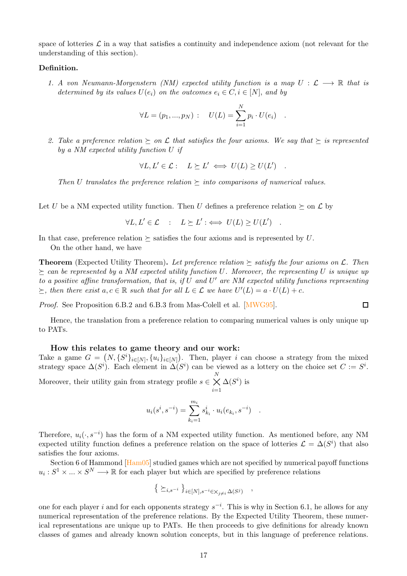space of lotteries  $\mathcal L$  in a way that satisfies a continuity and independence axiom (not relevant for the understanding of this section).

### Definition.

1. A von Neumann-Morgenstern (NM) expected utility function is a map  $U : \mathcal{L} \longrightarrow \mathbb{R}$  that is determined by its values  $U(e_i)$  on the outcomes  $e_i \in C, i \in [N]$ , and by

$$
\forall L = (p_1, ..., p_N) : U(L) = \sum_{i=1}^{N} p_i \cdot U(e_i) .
$$

2. Take a preference relation  $\succeq$  on  $\mathcal L$  that satisfies the four axioms. We say that  $\succeq$  is represented by a NM expected utility function U if

$$
\forall L, L' \in \mathcal{L} : L \succeq L' \iff U(L) \ge U(L') .
$$

Then U translates the preference relation  $\succeq$  into comparisons of numerical values.

Let U be a NM expected utility function. Then U defines a preference relation  $\succeq$  on  $\mathcal L$  by

 $\forall L, L' \in \mathcal{L} : L \succeq L' : \iff U(L) \geq U(L')$ .

In that case, preference relation  $\succ$  satisfies the four axioms and is represented by U.

On the other hand, we have

**Theorem** (Expected Utility Theorem). Let preference relation  $\succeq$  satisfy the four axioms on  $\mathcal{L}$ . Then  $\epsilon$  can be represented by a NM expected utility function U. Moreover, the representing U is unique up to a positive affine transformation, that is, if  $U$  and  $U'$  are NM expected utility functions representing  $\succeq$ , then there exist  $a, c \in \mathbb{R}$  such that for all  $L \in \mathcal{L}$  we have  $U'(L) = a \cdot U(L) + c$ .

Proof. See Proposition 6.B.2 and 6.B.3 from Mas-Colell et al. [\[MWG95](#page-15-11)].

 $\Box$ 

Hence, the translation from a preference relation to comparing numerical values is only unique up to PATs.

### How this relates to game theory and our work:

Take a game  $G = (N, \{S^i\}_{i \in [N]}, \{u_i\}_{i \in [N]})$ . Then, player i can choose a strategy from the mixed strategy space  $\Delta(S^i)$ . Each element in  $\Delta(S^i)$  can be viewed as a lottery on the choice set  $C := S^i$ . Moreover, their utility gain from strategy profile  $s \in \mathbb{R}$  $\underset{i=1}{\overset{N}{\times}}$  $\Delta(S^i)$  is

$$
u_i(s^i, s^{-i}) = \sum_{k_i=1}^{m_i} s^i_{k_i} \cdot u_i(e_{k_i}, s^{-i}) .
$$

Therefore,  $u_i(\cdot, s^{-i})$  has the form of a NM expected utility function. As mentioned before, any NM expected utility function defines a preference relation on the space of lotteries  $\mathcal{L} = \Delta(S^i)$  that also satisfies the four axioms.

Section 6 of Hammond [\[Ham05](#page-14-12)] studied games which are not specified by numerical payoff functions  $u_i: S^1 \times \ldots \times S^N \longrightarrow \mathbb{R}$  for each player but which are specified by preference relations

$$
\left\{\ \succeq_{i,s^{-i}}\ \right\}_{i\in [N], s^{-i}\in \times_{j\neq i}\Delta(S^j)}
$$

,

one for each player i and for each opponents strategy  $s^{-i}$ . This is why in Section 6.1, he allows for any numerical representation of the preference relations. By the Expected Utility Theorem, these numerical representations are unique up to PATs. He then proceeds to give definitions for already known classes of games and already known solution concepts, but in this language of preference relations.